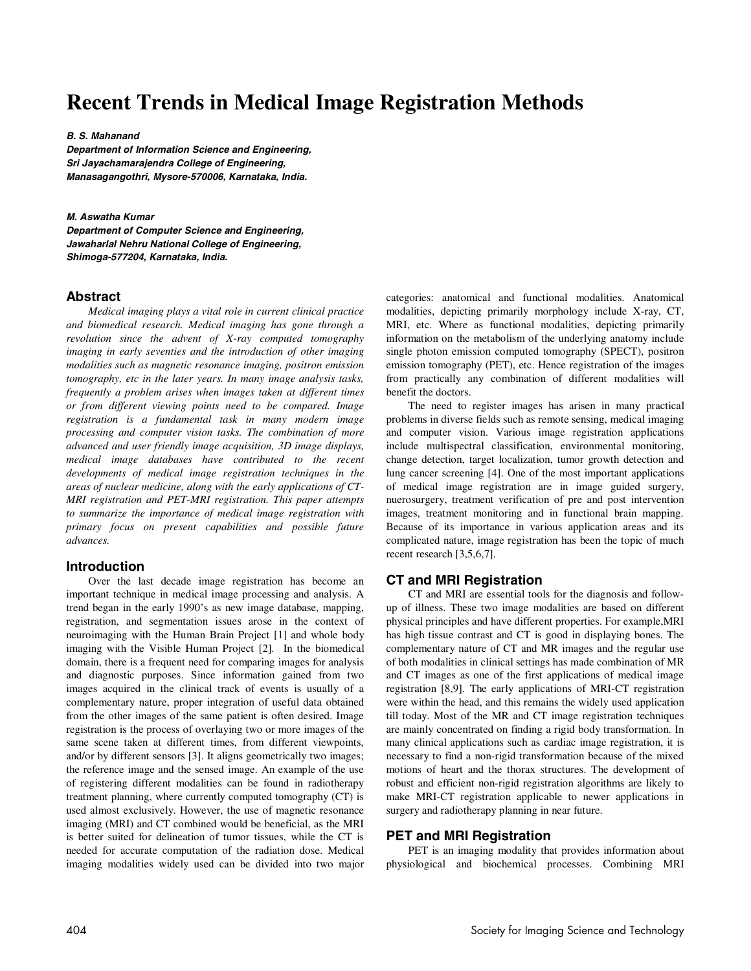# **Recent Trends in Medical Image Registration Methods**

#### **B. S. Mahanand**

**Department of Information Science and Engineering, Sri Jayachamarajendra College of Engineering, Manasagangothri, Mysore-570006, Karnataka, India.** 

**M. Aswatha Kumar Department of Computer Science and Engineering, Jawaharlal Nehru National College of Engineering, Shimoga-577204, Karnataka, India.** 

## **Abstract**

*Medical imaging plays a vital role in current clinical practice and biomedical research. Medical imaging has gone through a revolution since the advent of X-ray computed tomography imaging in early seventies and the introduction of other imaging modalities such as magnetic resonance imaging, positron emission tomography, etc in the later years. In many image analysis tasks, frequently a problem arises when images taken at different times or from different viewing points need to be compared. Image registration is a fundamental task in many modern image processing and computer vision tasks. The combination of more advanced and user friendly image acquisition, 3D image displays, medical image databases have contributed to the recent developments of medical image registration techniques in the areas of nuclear medicine, along with the early applications of CT-MRI registration and PET-MRI registration. This paper attempts to summarize the importance of medical image registration with primary focus on present capabilities and possible future advances.* 

#### **Introduction**

Over the last decade image registration has become an important technique in medical image processing and analysis. A trend began in the early 1990's as new image database, mapping, registration, and segmentation issues arose in the context of neuroimaging with the Human Brain Project [1] and whole body imaging with the Visible Human Project [2]. In the biomedical domain, there is a frequent need for comparing images for analysis and diagnostic purposes. Since information gained from two images acquired in the clinical track of events is usually of a complementary nature, proper integration of useful data obtained from the other images of the same patient is often desired. Image registration is the process of overlaying two or more images of the same scene taken at different times, from different viewpoints, and/or by different sensors [3]. It aligns geometrically two images; the reference image and the sensed image. An example of the use of registering different modalities can be found in radiotherapy treatment planning, where currently computed tomography (CT) is used almost exclusively. However, the use of magnetic resonance imaging (MRI) and CT combined would be beneficial, as the MRI is better suited for delineation of tumor tissues, while the CT is needed for accurate computation of the radiation dose. Medical imaging modalities widely used can be divided into two major categories: anatomical and functional modalities. Anatomical modalities, depicting primarily morphology include X-ray, CT, MRI, etc. Where as functional modalities, depicting primarily information on the metabolism of the underlying anatomy include single photon emission computed tomography (SPECT), positron emission tomography (PET), etc. Hence registration of the images from practically any combination of different modalities will benefit the doctors.

The need to register images has arisen in many practical problems in diverse fields such as remote sensing, medical imaging and computer vision. Various image registration applications include multispectral classification, environmental monitoring, change detection, target localization, tumor growth detection and lung cancer screening [4]. One of the most important applications of medical image registration are in image guided surgery, nuerosurgery, treatment verification of pre and post intervention images, treatment monitoring and in functional brain mapping. Because of its importance in various application areas and its complicated nature, image registration has been the topic of much recent research [3,5,6,7].

# **CT and MRI Registration**

CT and MRI are essential tools for the diagnosis and followup of illness. These two image modalities are based on different physical principles and have different properties. For example,MRI has high tissue contrast and CT is good in displaying bones. The complementary nature of CT and MR images and the regular use of both modalities in clinical settings has made combination of MR and CT images as one of the first applications of medical image registration [8,9]. The early applications of MRI-CT registration were within the head, and this remains the widely used application till today. Most of the MR and CT image registration techniques are mainly concentrated on finding a rigid body transformation. In many clinical applications such as cardiac image registration, it is necessary to find a non-rigid transformation because of the mixed motions of heart and the thorax structures. The development of robust and efficient non-rigid registration algorithms are likely to make MRI-CT registration applicable to newer applications in surgery and radiotherapy planning in near future.

## **PET and MRI Registration**

PET is an imaging modality that provides information about physiological and biochemical processes. Combining MRI